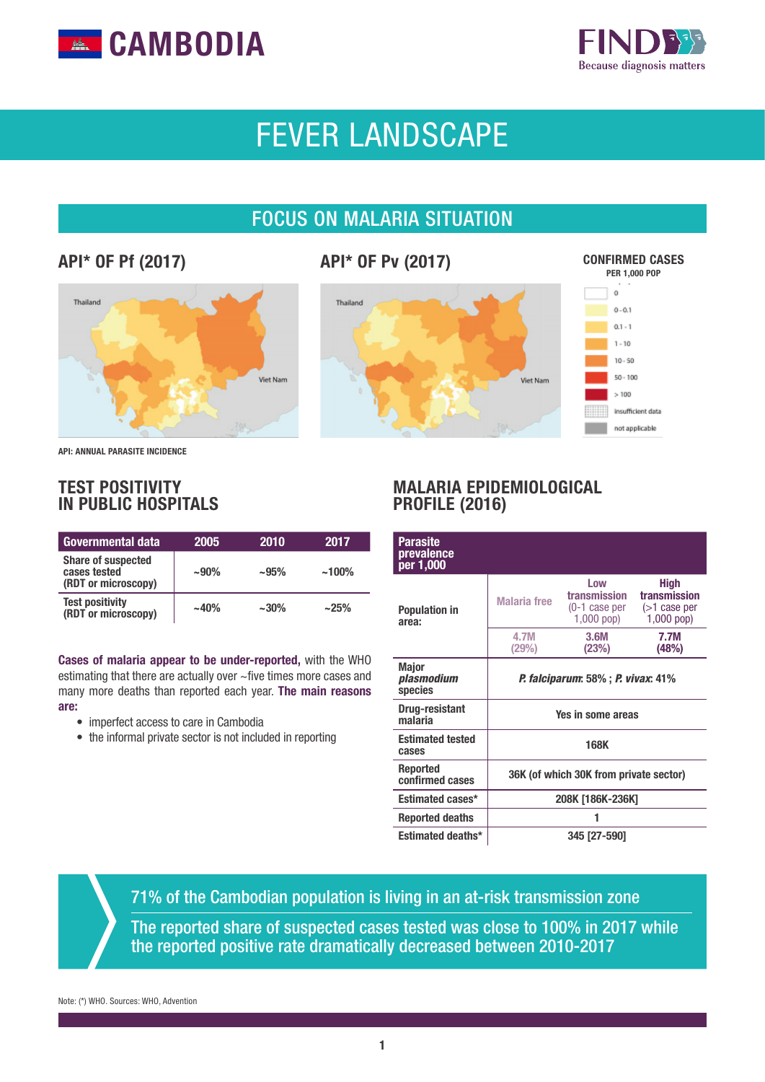



# FEVER LANDSCAPE

# FOCUS ON MALARIA SITUATION

# API\* OF Pf (2017)





API: ANNUAL PARASITE INCIDENCE

## TEST POSITIVITY IN PUBLIC HOSPITALS

| Governmental data                                                | 2005   | 2010      | 2017     |
|------------------------------------------------------------------|--------|-----------|----------|
| <b>Share of suspected</b><br>cases tested<br>(RDT or microscopy) | $-90%$ | $~1.95\%$ | $~100\%$ |
| <b>Test positivity</b><br>(RDT or microscopy)                    | $-40%$ | $~1.30\%$ | ~25%     |

Cases of malaria appear to be under-reported, with the WHO estimating that there are actually over ~five times more cases and many more deaths than reported each year. The main reasons are:

- imperfect access to care in Cambodia
- the informal private sector is not included in reporting

## MALARIA EPIDEMIOLOGICAL PROFILE (2016)

| <b>Parasite</b><br>prevalence<br>per 1,000 |                                                  |                                                         |                                                                |  |
|--------------------------------------------|--------------------------------------------------|---------------------------------------------------------|----------------------------------------------------------------|--|
| <b>Population in</b><br>area:              | <b>Malaria</b> free                              | Low<br>transmission<br>$(0-1)$ case per<br>$1,000$ pop) | <b>High</b><br>transmission<br>$($ >1 case per<br>$1,000$ pop) |  |
|                                            | 4.7M<br>(29%)                                    | 3.6M<br>(23%)                                           | 7.7M<br>(48%)                                                  |  |
| <b>Major</b><br>plasmodium<br>species      | <b>P. falciparum:</b> 58% ; <b>P. vivax:</b> 41% |                                                         |                                                                |  |
| <b>Drug-resistant</b><br>malaria           | Yes in some areas                                |                                                         |                                                                |  |
| <b>Estimated tested</b><br>cases           | <b>168K</b>                                      |                                                         |                                                                |  |
| Reported<br>confirmed cases                | 36K (of which 30K from private sector)           |                                                         |                                                                |  |
| <b>Estimated cases*</b>                    | 208K [186K-236K]                                 |                                                         |                                                                |  |
| <b>Reported deaths</b>                     |                                                  |                                                         |                                                                |  |
| <b>Estimated deaths*</b>                   | 345 [27-590]                                     |                                                         |                                                                |  |

71% of the Cambodian population is living in an at-risk transmission zone

The reported share of suspected cases tested was close to 100% in 2017 while the reported positive rate dramatically decreased between 2010-2017

Note: (\*) WHO. Sources: WHO, Advention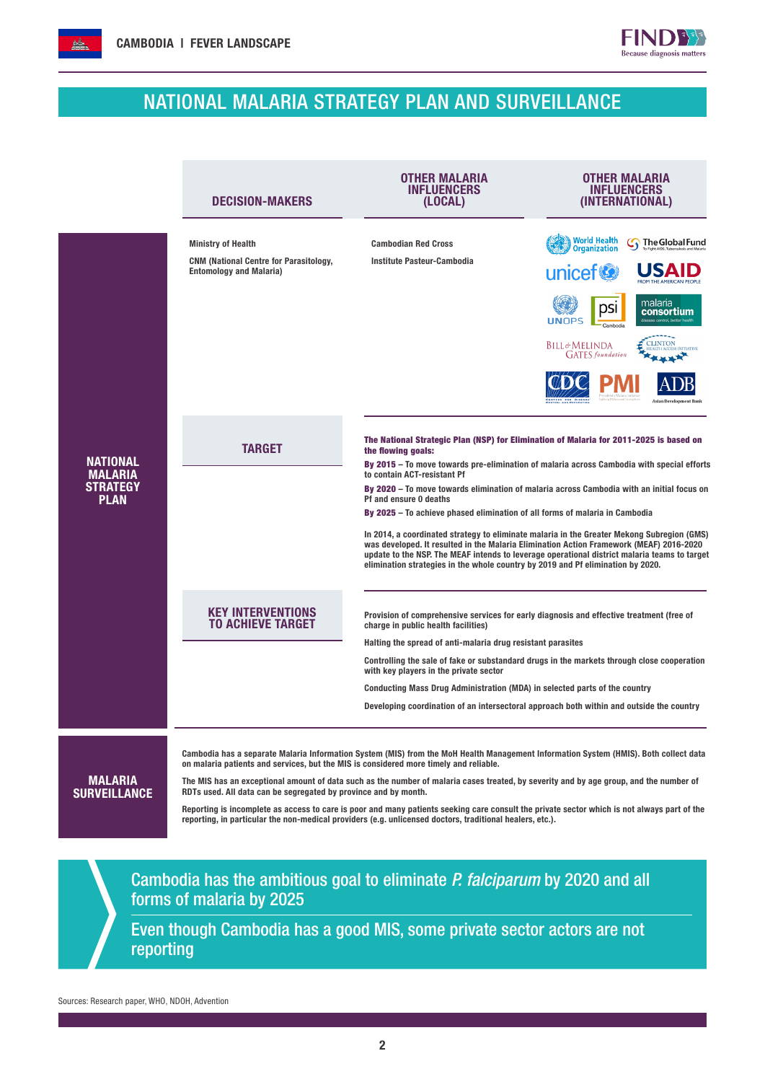# NATIONAL MALARIA STRATEGY PLAN AND SURVEILLANCE

 $FIND$ Because diagnosis matters

|                                   | <b>DECISION-MAKERS</b>                                                                                 | OTHER MALARIA<br><b>INFLUENCERS</b><br>(LOCAL)                                                                       | OTHER MALARIA<br>INFLUENCERS<br>(INTERNATIONAL)                                                                                                                                                                                                                                       |
|-----------------------------------|--------------------------------------------------------------------------------------------------------|----------------------------------------------------------------------------------------------------------------------|---------------------------------------------------------------------------------------------------------------------------------------------------------------------------------------------------------------------------------------------------------------------------------------|
|                                   | <b>Ministry of Health</b>                                                                              | <b>Cambodian Red Cross</b>                                                                                           | <b>World Health</b><br>The Global Fund<br><b>Organization</b>                                                                                                                                                                                                                         |
|                                   | <b>CNM (National Centre for Parasitology,</b><br><b>Entomology and Malaria)</b>                        | Institute Pasteur-Cambodia                                                                                           | unicef <sup>®</sup>                                                                                                                                                                                                                                                                   |
|                                   |                                                                                                        |                                                                                                                      | malaria<br>dsi<br>consortium<br><b>UNOPS</b><br>lisease control, better                                                                                                                                                                                                               |
|                                   |                                                                                                        |                                                                                                                      | Bill&Melinda<br><b>GATES</b> foundation                                                                                                                                                                                                                                               |
|                                   |                                                                                                        |                                                                                                                      |                                                                                                                                                                                                                                                                                       |
|                                   | <b>TARGET</b>                                                                                          | the flowing goals:                                                                                                   | The National Strategic Plan (NSP) for Elimination of Malaria for 2011-2025 is based on                                                                                                                                                                                                |
| <b>NATIONAL</b><br><b>MALARIA</b> |                                                                                                        | to contain ACT-resistant Pf                                                                                          | By 2015 - To move towards pre-elimination of malaria across Cambodia with special efforts                                                                                                                                                                                             |
| <b>STRATEGY</b><br><b>PLAN</b>    |                                                                                                        | Pf and ensure 0 deaths                                                                                               | By 2020 - To move towards elimination of malaria across Cambodia with an initial focus on                                                                                                                                                                                             |
|                                   |                                                                                                        | By 2025 - To achieve phased elimination of all forms of malaria in Cambodia                                          |                                                                                                                                                                                                                                                                                       |
|                                   |                                                                                                        | elimination strategies in the whole country by 2019 and Pf elimination by 2020.                                      | In 2014, a coordinated strategy to eliminate malaria in the Greater Mekong Subregion (GMS)<br>was developed. It resulted in the Malaria Elimination Action Framework (MEAF) 2016-2020<br>update to the NSP. The MEAF intends to leverage operational district malaria teams to target |
|                                   | <b>KEY INTERVENTIONS</b><br>TO ACHIEVE TARGET                                                          | charge in public health facilities)                                                                                  | Provision of comprehensive services for early diagnosis and effective treatment (free of                                                                                                                                                                                              |
|                                   |                                                                                                        | Halting the spread of anti-malaria drug resistant parasites                                                          | Controlling the sale of fake or substandard drugs in the markets through close cooperation                                                                                                                                                                                            |
|                                   |                                                                                                        | with key players in the private sector<br>Conducting Mass Drug Administration (MDA) in selected parts of the country |                                                                                                                                                                                                                                                                                       |
|                                   |                                                                                                        |                                                                                                                      | Developing coordination of an intersectoral approach both within and outside the country                                                                                                                                                                                              |
|                                   | on malaria patients and services, but the MIS is considered more timely and reliable.                  |                                                                                                                      | Cambodia has a separate Malaria Information System (MIS) from the MoH Health Management Information System (HMIS). Both collect data                                                                                                                                                  |
| <b>MALARIA</b>                    | RDTs used. All data can be segregated by province and by month.                                        |                                                                                                                      | The MIS has an exceptional amount of data such as the number of malaria cases treated, by severity and by age group, and the number of                                                                                                                                                |
| <b>SURVEILLANCE</b>               |                                                                                                        |                                                                                                                      | Reporting is incomplete as access to care is poor and many patients seeking care consult the private sector which is not always part of the                                                                                                                                           |
|                                   |                                                                                                        | reporting, in particular the non-medical providers (e.g. unlicensed doctors, traditional healers, etc.).             |                                                                                                                                                                                                                                                                                       |
|                                   |                                                                                                        |                                                                                                                      |                                                                                                                                                                                                                                                                                       |
|                                   | Cambodia has the ambitious goal to eliminate P. falciparum by 2020 and all<br>forms of malaria by 2025 |                                                                                                                      |                                                                                                                                                                                                                                                                                       |
| reporting                         | Even though Cambodia has a good MIS, some private sector actors are not                                |                                                                                                                      |                                                                                                                                                                                                                                                                                       |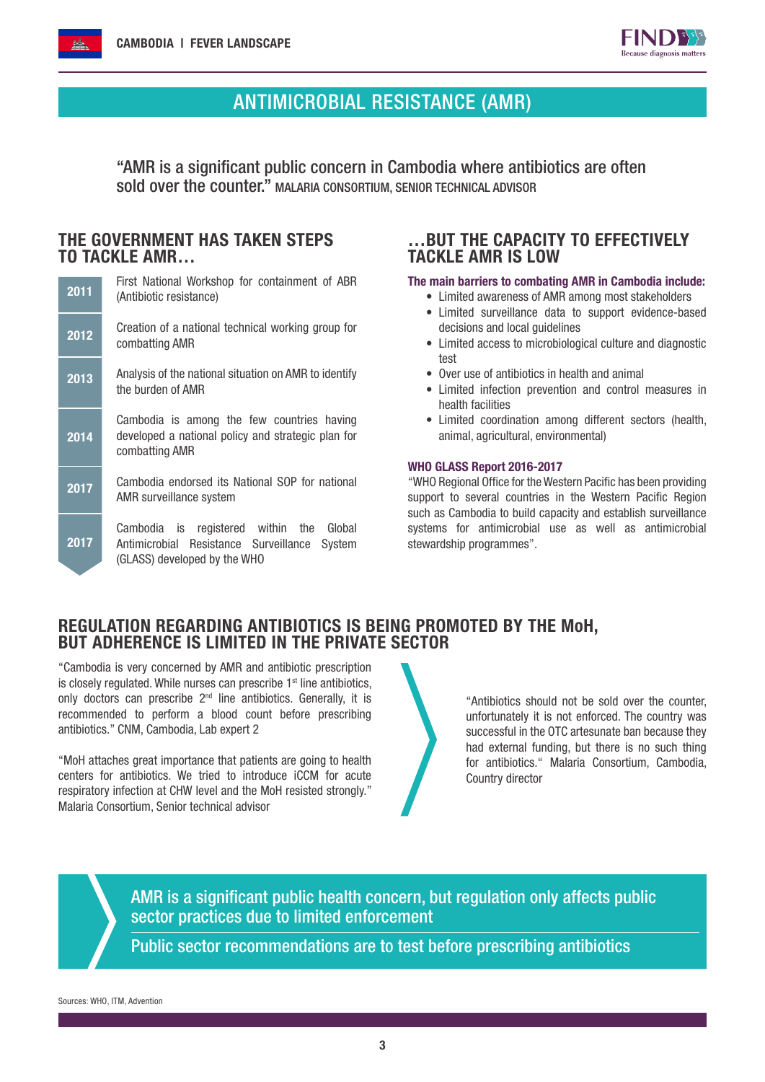

# ANTIMICROBIAL RESISTANCE (AMR)

"AMR is a significant public concern in Cambodia where antibiotics are often sold over the counter." MALARIA CONSORTIUM, SENIOR TECHNICAL ADVISOR

#### THE GOVERNMENT HAS TAKEN STEPS TO TACKLE AMR…

| 2011 | First National Workshop for containment of ABR<br>(Antibiotic resistance)                                                      |  |  |  |
|------|--------------------------------------------------------------------------------------------------------------------------------|--|--|--|
| 2012 | Creation of a national technical working group for<br>combatting AMR                                                           |  |  |  |
| 2013 | Analysis of the national situation on AMR to identify<br>the burden of AMR                                                     |  |  |  |
| 2014 | Cambodia is among the few countries having<br>developed a national policy and strategic plan for<br>combatting AMR             |  |  |  |
| 2017 | Cambodia endorsed its National SOP for national<br>AMR surveillance system                                                     |  |  |  |
| 2017 | Cambodia is registered within the<br>Global<br>Antimicrobial Resistance Surveillance<br>System<br>(GLASS) developed by the WHO |  |  |  |

## …BUT THE CAPACITY TO EFFECTIVELY TACKLE AMR IS LOW

#### The main barriers to combating AMR in Cambodia include:

- Limited awareness of AMR among most stakeholders
- Limited surveillance data to support evidence-based decisions and local guidelines
- Limited access to microbiological culture and diagnostic test
- Over use of antibiotics in health and animal
- Limited infection prevention and control measures in health facilities
- Limited coordination among different sectors (health, animal, agricultural, environmental)

#### WHO GLASS Report 2016-2017

"WHO Regional Office for the Western Pacific has been providing support to several countries in the Western Pacific Region such as Cambodia to build capacity and establish surveillance systems for antimicrobial use as well as antimicrobial stewardship programmes".

#### REGULATION REGARDING ANTIBIOTICS IS BEING PROMOTED BY THE MoH, BUT ADHERENCE IS LIMITED IN THE PRIVATE SECTOR

"Cambodia is very concerned by AMR and antibiotic prescription is closely regulated. While nurses can prescribe  $1<sup>st</sup>$  line antibiotics, only doctors can prescribe  $2<sup>nd</sup>$  line antibiotics. Generally, it is recommended to perform a blood count before prescribing antibiotics." CNM, Cambodia, Lab expert 2

"MoH attaches great importance that patients are going to health centers for antibiotics. We tried to introduce iCCM for acute respiratory infection at CHW level and the MoH resisted strongly." Malaria Consortium, Senior technical advisor

"Antibiotics should not be sold over the counter, unfortunately it is not enforced. The country was successful in the OTC artesunate ban because they had external funding, but there is no such thing for antibiotics." Malaria Consortium, Cambodia, Country director

AMR is a significant public health concern, but regulation only affects public sector practices due to limited enforcement

Public sector recommendations are to test before prescribing antibiotics